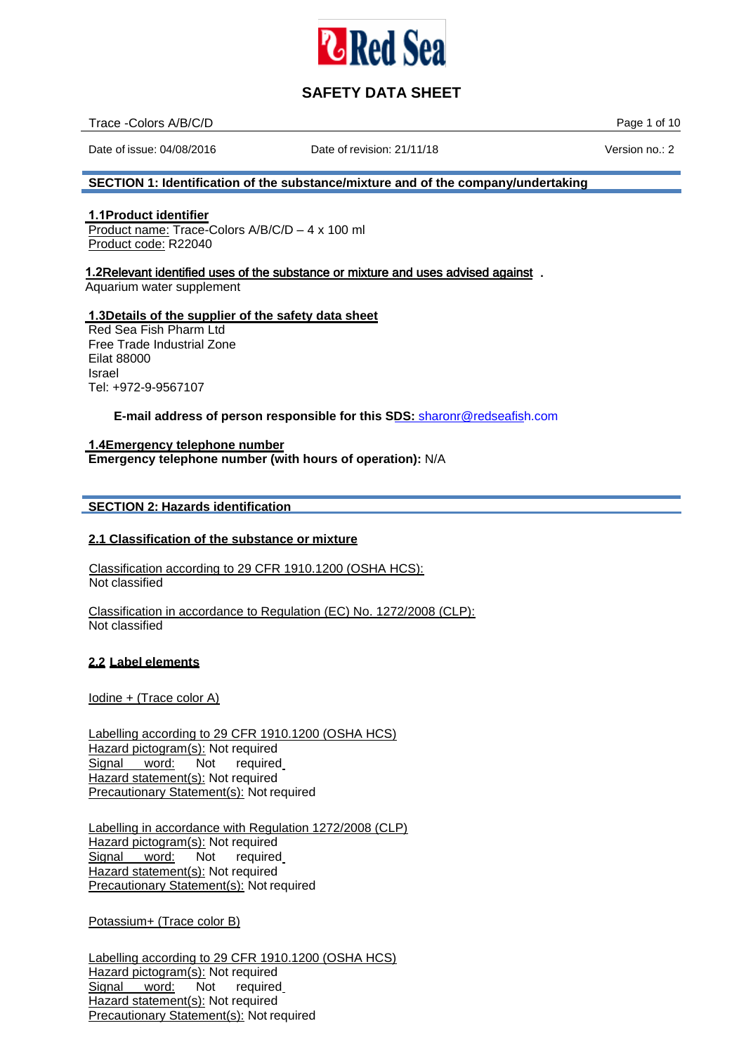

| Trace - Colors A/B/C/D | of 10<br>Page |
|------------------------|---------------|
|                        |               |

Date of issue: 04/08/2016 Date of revision: 21/11/18 Version no.: 2

## **SECTION 1: Identification of the substance/mixture and of the company/undertaking**

## **1.1Product identifier**

Product name: Trace-Colors A/B/C/D – 4 x 100 ml Product code: R22040

## **1.2**Relevant identified uses of the substance or mixture and uses advised against .

Aquarium water supplement

## **1.3Details of the supplier of the safety data sheet**

Red Sea Fish Pharm Ltd Free Trade Industrial Zone Eilat 88000 Israel Tel: +972-9-9567107

**E-mail address of person responsible for this SDS:** [sharonr@redseafish.com](mailto:sharonr@redseafish.co.il)

## **1.4Emergency telephone number**

**Emergency telephone number (with hours of operation):** N/A

## **SECTION 2: Hazards identification**

## **2.1 Classification of the substance or mixture**

Classification according to 29 CFR 1910.1200 (OSHA HCS): Not classified

Classification in accordance to Regulation (EC) No. 1272/2008 (CLP): Not classified

## **2.2 Label elements**

Iodine + (Trace color A)

Labelling according to 29 CFR 1910.1200 (OSHA HCS) Hazard pictogram(s): Not required Signal word: Not required Hazard statement(s): Not required Precautionary Statement(s): Not required

Labelling in accordance with Regulation 1272/2008 (CLP) Hazard pictogram(s): Not required Signal word: Not required Hazard statement(s): Not required Precautionary Statement(s): Not required

Potassium+ (Trace color B)

Labelling according to 29 CFR 1910.1200 (OSHA HCS) Hazard pictogram(s): Not required Signal word: Not required Hazard statement(s): Not required Precautionary Statement(s): Not required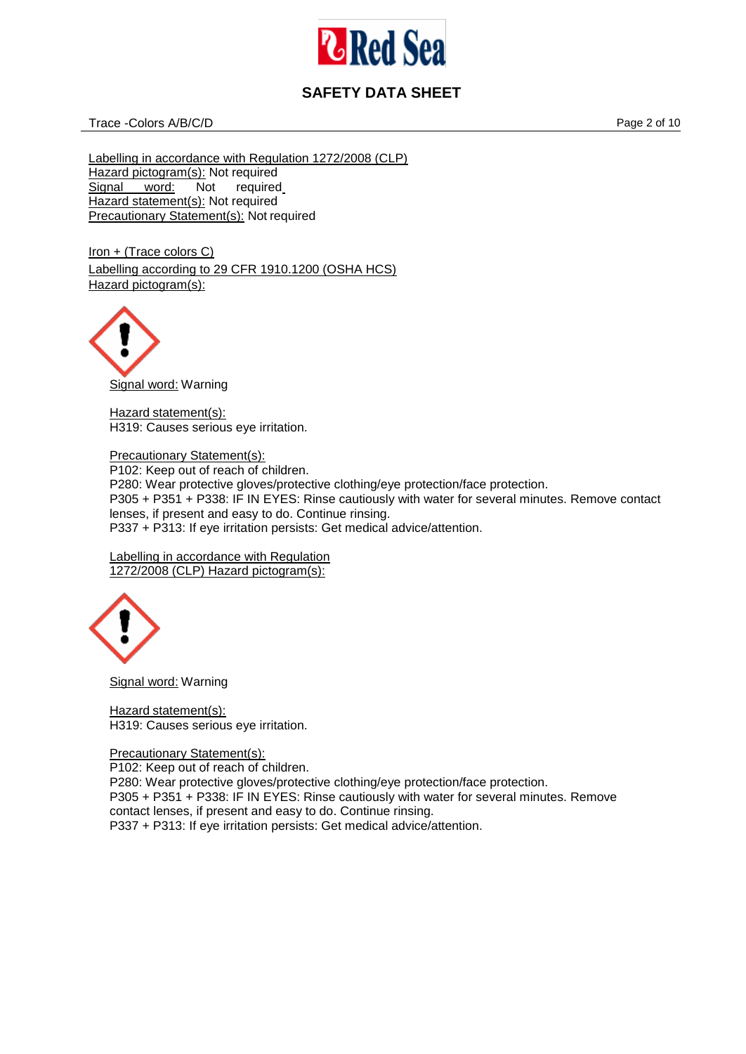

Trace -Colors A/B/C/D **Page 2 of 10** 

Labelling in accordance with Regulation 1272/2008 (CLP) Hazard pictogram(s): Not required<br>Signal word: Not required Signal word: Hazard statement(s): Not required Precautionary Statement(s): Not required

Iron + (Trace colors C) Labelling according to 29 CFR 1910.1200 (OSHA HCS) Hazard pictogram(s):



Hazard statement(s): H319: Causes serious eye irritation.

Precautionary Statement(s): P102: Keep out of reach of children. P280: Wear protective gloves/protective clothing/eye protection/face protection. P305 + P351 + P338: IF IN EYES: Rinse cautiously with water for several minutes. Remove contact lenses, if present and easy to do. Continue rinsing. P337 + P313: If eye irritation persists: Get medical advice/attention.

Labelling in accordance with Regulation 1272/2008 (CLP) Hazard pictogram(s):



Signal word: Warning

Hazard statement(s): H319: Causes serious eye irritation.

## Precautionary Statement(s):

P102: Keep out of reach of children.

P280: Wear protective gloves/protective clothing/eye protection/face protection.

P305 + P351 + P338: IF IN EYES: Rinse cautiously with water for several minutes. Remove contact lenses, if present and easy to do. Continue rinsing.

P337 + P313: If eye irritation persists: Get medical advice/attention.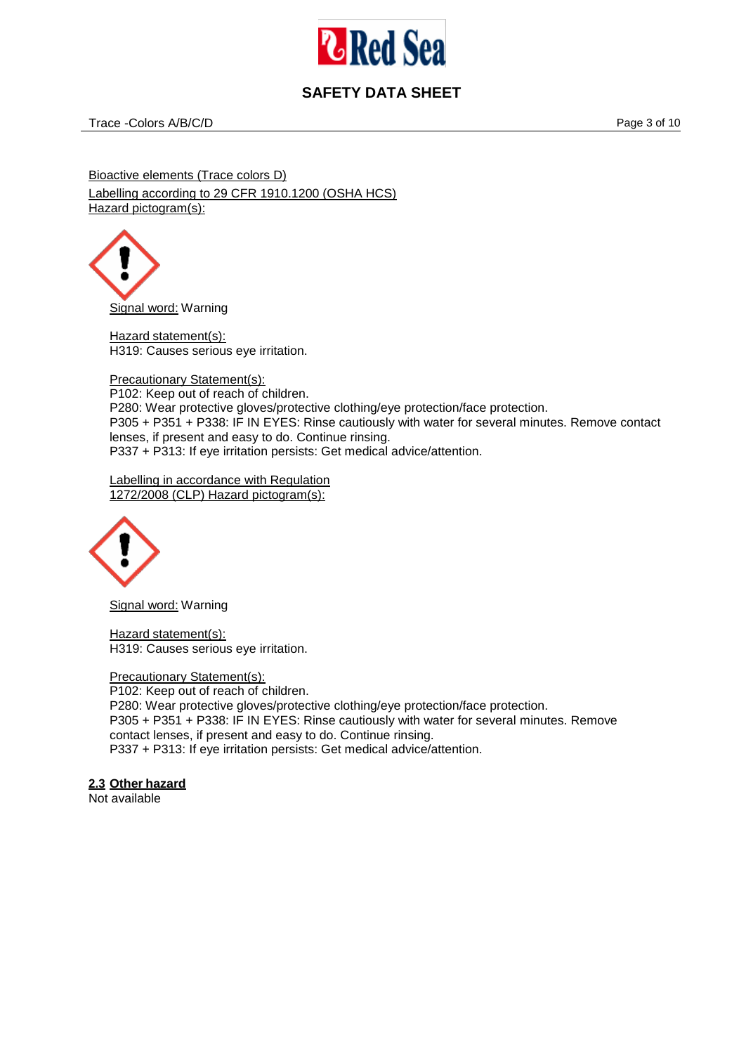

Trace -Colors A/B/C/D **Page 3 of 10** 

Bioactive elements (Trace colors D) Labelling according to 29 CFR 1910.1200 (OSHA HCS) Hazard pictogram(s):

Signal word: Warning

Hazard statement(s): H319: Causes serious eye irritation.

Precautionary Statement(s): P102: Keep out of reach of children. P280: Wear protective gloves/protective clothing/eye protection/face protection. P305 + P351 + P338: IF IN EYES: Rinse cautiously with water for several minutes. Remove contact lenses, if present and easy to do. Continue rinsing. P337 + P313: If eye irritation persists: Get medical advice/attention.

Labelling in accordance with Regulation 1272/2008 (CLP) Hazard pictogram(s):



Signal word: Warning

Hazard statement(s): H319: Causes serious eye irritation.

Precautionary Statement(s): P102: Keep out of reach of children. P280: Wear protective gloves/protective clothing/eye protection/face protection. P305 + P351 + P338: IF IN EYES: Rinse cautiously with water for several minutes. Remove contact lenses, if present and easy to do. Continue rinsing. P337 + P313: If eye irritation persists: Get medical advice/attention.

# **2.3 Other hazard**

Not available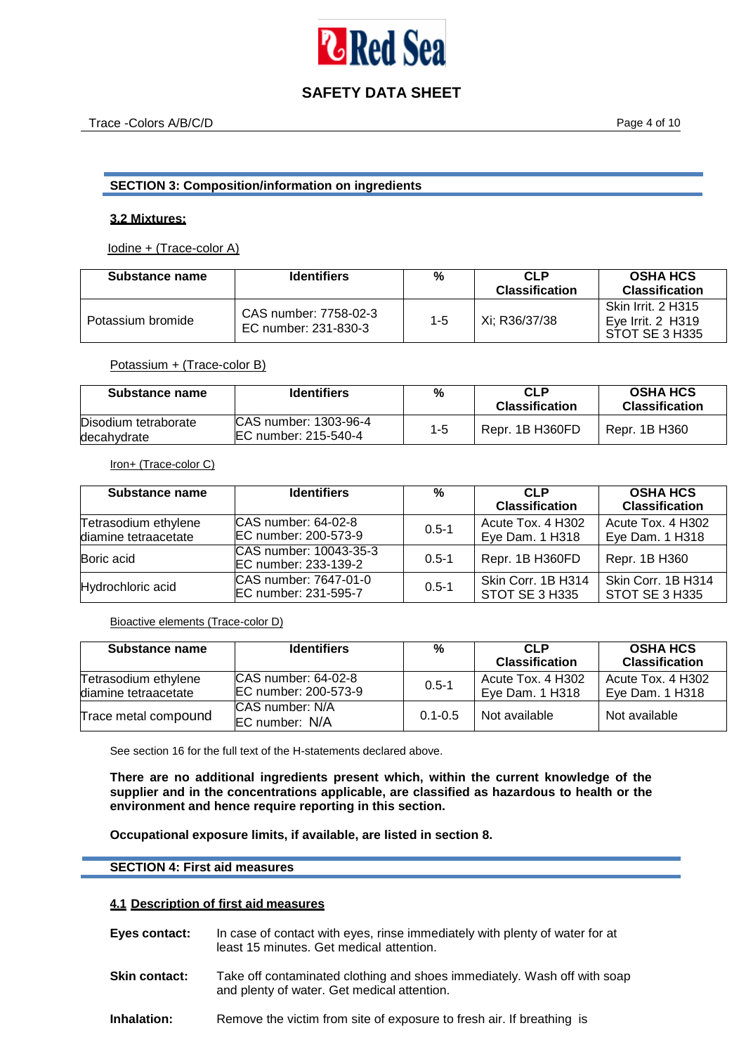

## **SECTION 3: Composition/information on ingredients**

#### **3.2 Mixtures:**

Iodine + (Trace-color A)

| <b>Substance name</b> | <b>Identifiers</b>                            | %   | <b>CLP</b><br><b>Classification</b> | <b>OSHA HCS</b><br><b>Classification</b>                  |
|-----------------------|-----------------------------------------------|-----|-------------------------------------|-----------------------------------------------------------|
| Potassium bromide     | CAS number: 7758-02-3<br>EC number: 231-830-3 | 1-5 | Xi: R36/37/38                       | Skin Irrit, 2 H315<br>Eve Irrit, 2 H319<br>STOT SE 3 H335 |

#### Potassium + (Trace-color B)

| Substance name                      | <b>Identifiers</b>                              | %       | <b>CLP</b><br><b>Classification</b> | <b>OSHA HCS</b><br><b>Classification</b> |
|-------------------------------------|-------------------------------------------------|---------|-------------------------------------|------------------------------------------|
| Disodium tetraborate<br>decahydrate | ICAS number: 1303-96-4<br>IEC number: 215-540-4 | $1 - 5$ | Repr. 1B H360FD                     | Repr. 1B H360                            |

#### Iron+ (Trace-color C)

| <b>Substance name</b>                        | <b>Identifiers</b>                             | $\%$      | CI P<br><b>Classification</b>        | <b>OSHA HCS</b><br><b>Classification</b> |
|----------------------------------------------|------------------------------------------------|-----------|--------------------------------------|------------------------------------------|
| Tetrasodium ethylene<br>diamine tetraacetate | ICAS number: 64-02-8<br>EC number: 200-573-9   | $0.5 - 1$ | Acute Tox, 4 H302<br>Eye Dam. 1 H318 | Acute Tox, 4 H302<br>Eye Dam. 1 H318     |
| Boric acid                                   | CAS number: 10043-35-3<br>EC number: 233-139-2 | $0.5 - 1$ | Repr. 1B H360FD                      | Repr. 1B H360                            |
| Hydrochloric acid                            | ICAS number: 7647-01-0<br>EC number: 231-595-7 | $0.5 - 1$ | Skin Corr. 1B H314<br>STOT SE 3 H335 | Skin Corr. 1B H314<br>STOT SE 3 H335     |

Bioactive elements (Trace-color D)

| Substance name                               | <b>Identifiers</b>                            | %           | <b>CLP</b><br><b>Classification</b>  | <b>OSHA HCS</b><br><b>Classification</b> |
|----------------------------------------------|-----------------------------------------------|-------------|--------------------------------------|------------------------------------------|
| Tetrasodium ethylene<br>diamine tetraacetate | ICAS number: 64-02-8<br>IEC number: 200-573-9 | $0.5 - 1$   | Acute Tox, 4 H302<br>Eye Dam. 1 H318 | Acute Tox, 4 H302<br>Eye Dam. 1 H318     |
| Trace metal compound                         | ICAS number: N/A<br><b>IEC</b> number: N/A    | $0.1 - 0.5$ | Not available                        | Not available                            |

See section 16 for the full text of the H-statements declared above.

**There are no additional ingredients present which, within the current knowledge of the supplier and in the concentrations applicable, are classified as hazardous to health or the environment and hence require reporting in this section.**

**Occupational exposure limits, if available, are listed in section 8.** 

#### **SECTION 4: First aid measures**

#### **4.1 Description of first aid measures**

- **Eyes contact:** In case of contact with eyes, rinse immediately with plenty of water for at least 15 minutes. Get medical attention.
- **Skin contact:** Take off contaminated clothing and shoes immediately. Wash off with soap and plenty of water. Get medical attention.
- **Inhalation:** Remove the victim from site of exposure to fresh air. If breathing is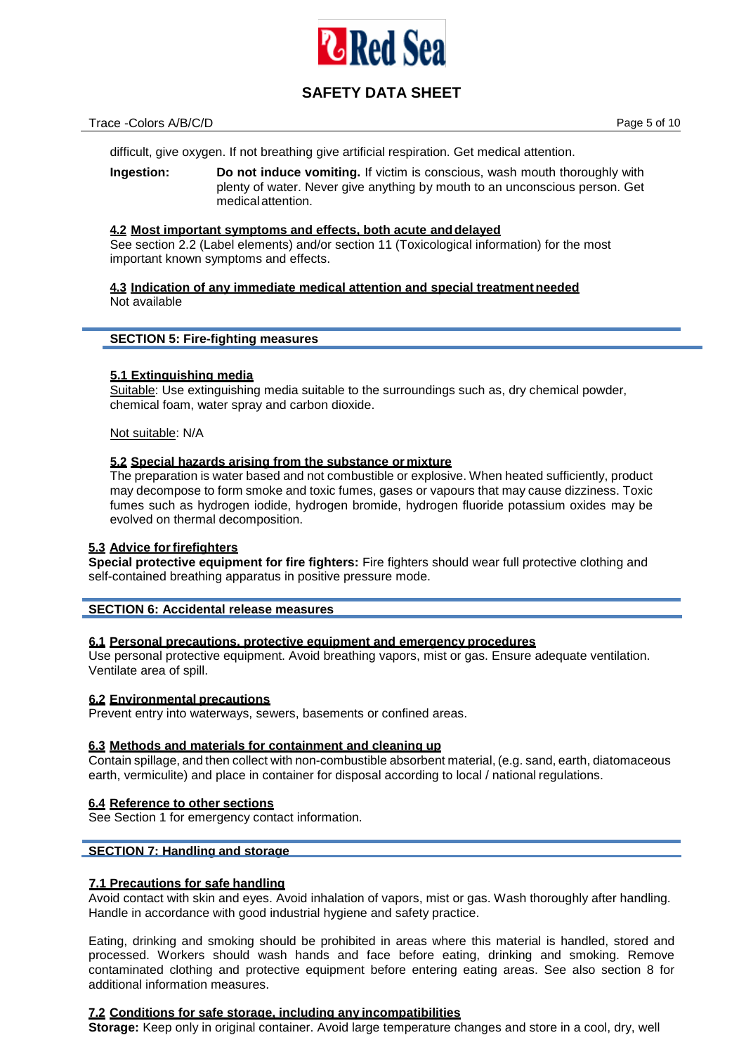

### Trace -Colors A/B/C/D **Page 5 of 10**

difficult, give oxygen. If not breathing give artificial respiration. Get medical attention.

**Ingestion: Do not induce vomiting.** If victim is conscious, wash mouth thoroughly with plenty of water. Never give anything by mouth to an unconscious person. Get medicalattention.

## **4.2 Most important symptoms and effects, both acute anddelayed**

See section 2.2 (Label elements) and/or section 11 (Toxicological information) for the most important known symptoms and effects.

**4.3 Indication of any immediate medical attention and special treatment needed** Not available

#### **SECTION 5: Fire-fighting measures**

## **5.1 Extinguishing media**

Suitable: Use extinguishing media suitable to the surroundings such as, dry chemical powder, chemical foam, water spray and carbon dioxide.

Not suitable: N/A

## **5.2 Special hazards arising from the substance or mixture**

The preparation is water based and not combustible or explosive. When heated sufficiently, product may decompose to form smoke and toxic fumes, gases or vapours that may cause dizziness. Toxic fumes such as hydrogen iodide, hydrogen bromide, hydrogen fluoride potassium oxides may be evolved on thermal decomposition.

## **5.3 Advice forfirefighters**

**Special protective equipment for fire fighters:** Fire fighters should wear full protective clothing and self-contained breathing apparatus in positive pressure mode.

## **SECTION 6: Accidental release measures**

## **6.1 Personal precautions, protective equipment and emergency procedures**

Use personal protective equipment. Avoid breathing vapors, mist or gas. Ensure adequate ventilation. Ventilate area of spill.

## **6.2 Environmental precautions**

Prevent entry into waterways, sewers, basements or confined areas.

## **6.3 Methods and materials for containment and cleaning up**

Contain spillage, and then collect with non-combustible absorbent material, (e.g. sand, earth, diatomaceous earth, vermiculite) and place in container for disposal according to local / national regulations.

#### **6.4 Reference to other sections**

See Section 1 for emergency contact information.

## **SECTION 7: Handling and storage**

## **7.1 Precautions for safe handling**

Avoid contact with skin and eyes. Avoid inhalation of vapors, mist or gas. Wash thoroughly after handling. Handle in accordance with good industrial hygiene and safety practice.

Eating, drinking and smoking should be prohibited in areas where this material is handled, stored and processed. Workers should wash hands and face before eating, drinking and smoking. Remove contaminated clothing and protective equipment before entering eating areas. See also section 8 for additional information measures.

#### **7.2 Conditions for safe storage, including any incompatibilities**

**Storage:** Keep only in original container. Avoid large temperature changes and store in a cool, dry, well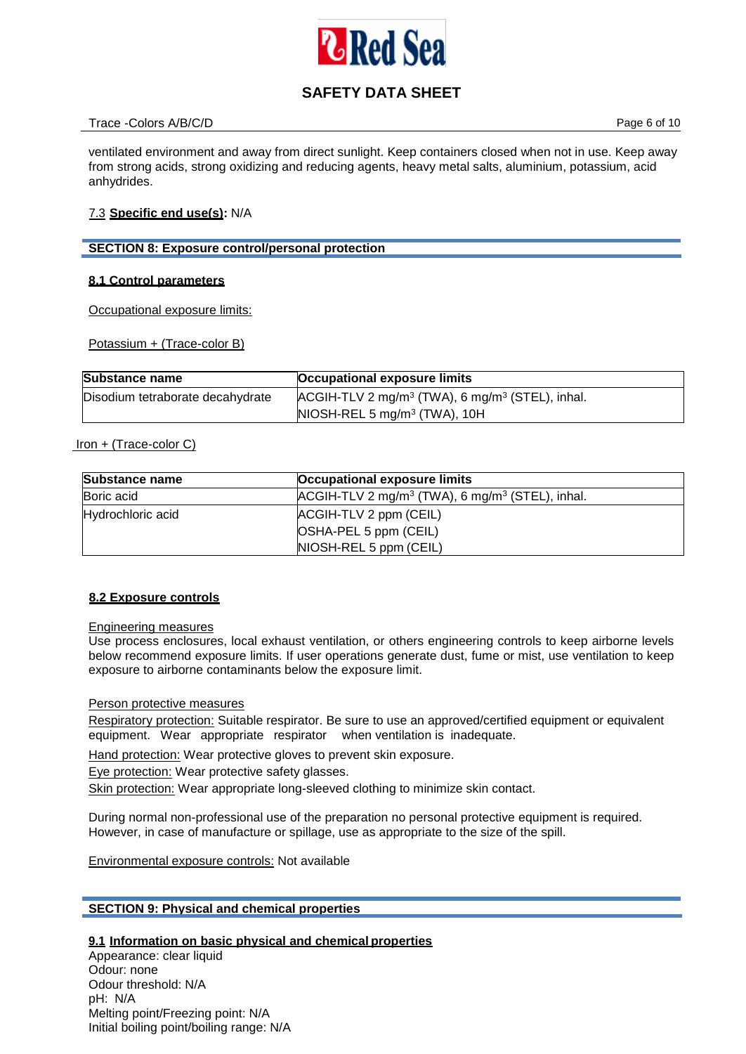

## Trace -Colors A/B/C/D **Page 6 of 10**

ventilated environment and away from direct sunlight. Keep containers closed when not in use. Keep away from strong acids, strong oxidizing and reducing agents, heavy metal salts, aluminium, potassium, acid anhydrides.

## 7.3 **Specific end use(s):** N/A

## **SECTION 8: Exposure control/personal protection**

## **8.1 Control parameters**

Occupational exposure limits:

Potassium + (Trace-color B)

| <b>Substance name</b>            | Occupational exposure limits                                            |
|----------------------------------|-------------------------------------------------------------------------|
| Disodium tetraborate decahydrate | ACGIH-TLV 2 mg/m <sup>3</sup> (TWA), 6 mg/m <sup>3</sup> (STEL), inhal. |
|                                  | $NIOSH-REL 5 mg/m3 (TWA), 10H$                                          |

## Iron + (Trace-color C)

| <b>Substance name</b> | Occupational exposure limits                     |
|-----------------------|--------------------------------------------------|
| Boric acid            | $ACGH-TLV 2 mg/m3 (TWA), 6 mg/m3 (STEL), inhal.$ |
| Hydrochloric acid     | ACGIH-TLV 2 ppm (CEIL)                           |
|                       | OSHA-PEL 5 ppm (CEIL)                            |
|                       | NIOSH-REL 5 ppm (CEIL)                           |

## **8.2 Exposure controls**

## Engineering measures

Use process enclosures, local exhaust ventilation, or others engineering controls to keep airborne levels below recommend exposure limits. If user operations generate dust, fume or mist, use ventilation to keep exposure to airborne contaminants below the exposure limit.

## Person protective measures

Respiratory protection: Suitable respirator. Be sure to use an approved/certified equipment or equivalent equipment. Wear appropriate respirator when ventilation is inadequate.

Hand protection: Wear protective gloves to prevent skin exposure.

Eye protection: Wear protective safety glasses.

Skin protection: Wear appropriate long-sleeved clothing to minimize skin contact.

During normal non-professional use of the preparation no personal protective equipment is required. However, in case of manufacture or spillage, use as appropriate to the size of the spill.

Environmental exposure controls: Not available

## **SECTION 9: Physical and chemical properties**

## **9.1 Information on basic physical and chemical properties**

Appearance: clear liquid Odour: none Odour threshold: N/A pH: N/A Melting point/Freezing point: N/A Initial boiling point/boiling range: N/A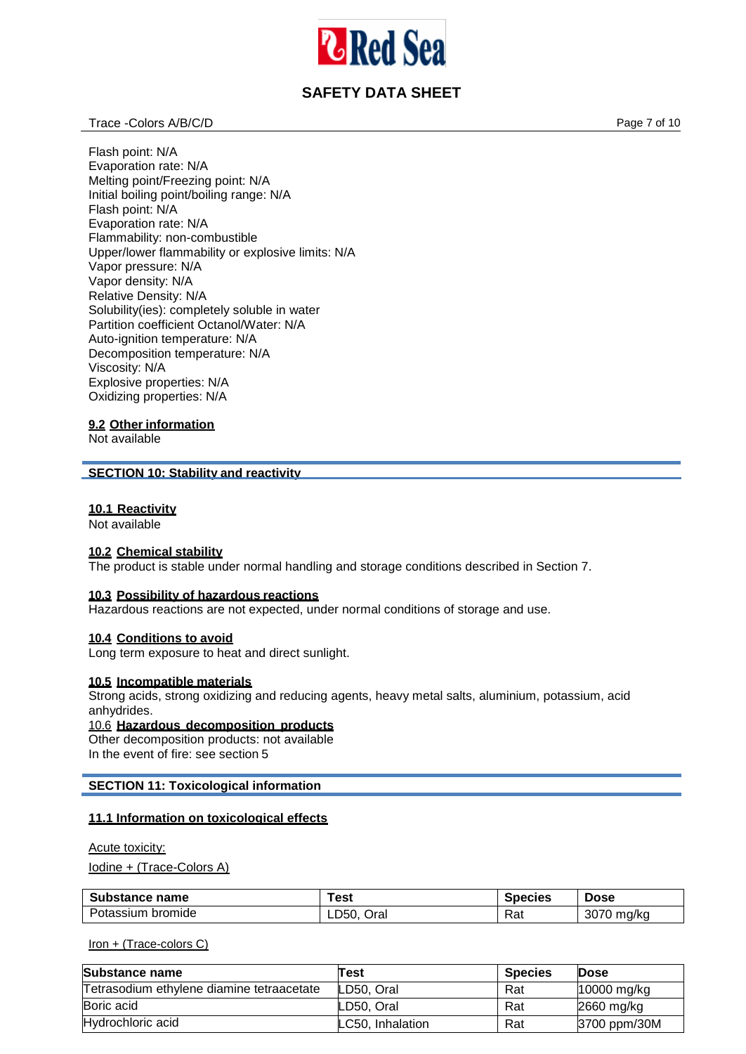

## Trace -Colors A/B/C/D **Page 7 of 10**

Flash point: N/A Evaporation rate: N/A Melting point/Freezing point: N/A Initial boiling point/boiling range: N/A Flash point: N/A Evaporation rate: N/A Flammability: non-combustible Upper/lower flammability or explosive limits: N/A Vapor pressure: N/A Vapor density: N/A Relative Density: N/A Solubility(ies): completely soluble in water Partition coefficient Octanol/Water: N/A Auto-ignition temperature: N/A Decomposition temperature: N/A Viscosity: N/A Explosive properties: N/A Oxidizing properties: N/A

## **9.2 Other information**

Not available

## **SECTION 10: Stability and reactivity**

#### **10.1 Reactivity**

Not available

### **10.2 Chemical stability**

The product is stable under normal handling and storage conditions described in Section 7.

## **10.3 Possibility of hazardous reactions**

Hazardous reactions are not expected, under normal conditions of storage and use.

#### **10.4 Conditions to avoid**

Long term exposure to heat and direct sunlight.

## **10.5 Incompatible materials**

Strong acids, strong oxidizing and reducing agents, heavy metal salts, aluminium, potassium, acid anhydrides.

## 10.6 **Hazardous decomposition products**

Other decomposition products: not available In the event of fire: see section 5

## **SECTION 11: Toxicological information**

## **11.1 Information on toxicological effects**

#### Acute toxicity:

Iodine + (Trace-Colors A)

| <b>Substance name</b> | ēest         | Species  | <b>Dose</b>              |
|-----------------------|--------------|----------|--------------------------|
| Potassium bromide     | LD50<br>Oral | -<br>Rai | חדחה<br>ma/ka<br>- 307 C |

#### Iron + (Trace-colors C)

| Substance name                            | Test             | <b>Species</b> | <b>Dose</b>  |
|-------------------------------------------|------------------|----------------|--------------|
| Tetrasodium ethylene diamine tetraacetate | LD50, Oral       | Rat            | 10000 mg/kg  |
| Boric acid                                | LD50, Oral       | Rat            | $2660$ mg/kg |
| Hydrochloric acid                         | LC50. Inhalation | Rat            | 3700 ppm/30M |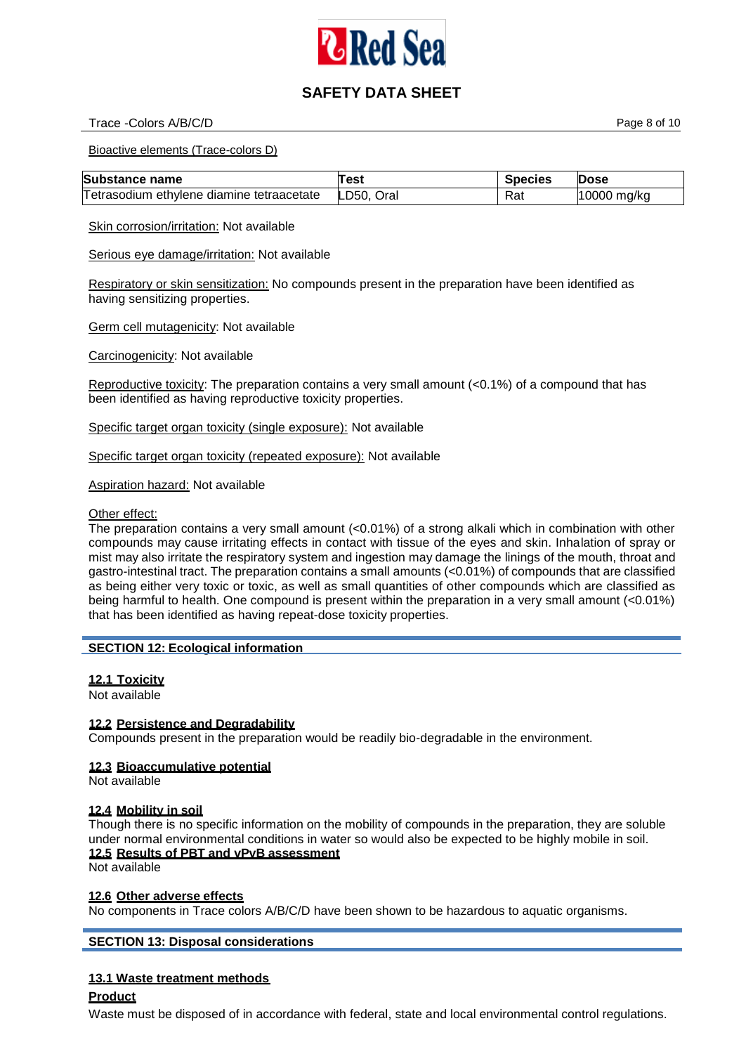

## Trace -Colors A/B/C/D **Page 8 of 10**

Bioactive elements (Trace-colors D)

| <b>Substance name</b>                     | Test       | <b>Species</b> | <b>Dose</b> |
|-------------------------------------------|------------|----------------|-------------|
| Tetrasodium ethylene diamine tetraacetate | LD50, Oral | Rat            | 10000 mg/kg |

Skin corrosion/irritation: Not available

Serious eye damage/irritation: Not available

Respiratory or skin sensitization: No compounds present in the preparation have been identified as having sensitizing properties.

Germ cell mutagenicity: Not available

Carcinogenicity: Not available

Reproductive toxicity: The preparation contains a very small amount  $( $0.1\%$ )$  of a compound that has been identified as having reproductive toxicity properties.

Specific target organ toxicity (single exposure): Not available

Specific target organ toxicity (repeated exposure): Not available

Aspiration hazard: Not available

Other effect:

The preparation contains a very small amount (<0.01%) of a strong alkali which in combination with other compounds may cause irritating effects in contact with tissue of the eyes and skin. Inhalation of spray or mist may also irritate the respiratory system and ingestion may damage the linings of the mouth, throat and gastro-intestinal tract. The preparation contains a small amounts (<0.01%) of compounds that are classified as being either very toxic or toxic, as well as small quantities of other compounds which are classified as being harmful to health. One compound is present within the preparation in a very small amount (<0.01%) that has been identified as having repeat-dose toxicity properties.

## **SECTION 12: Ecological information**

## **12.1 Toxicity**

Not available

#### **12.2 Persistence and Degradability**

Compounds present in the preparation would be readily bio-degradable in the environment.

## **12.3 Bioaccumulative potential**

Not available

#### **12.4 Mobility in soil**

Though there is no specific information on the mobility of compounds in the preparation, they are soluble under normal environmental conditions in water so would also be expected to be highly mobile in soil. **12.5 Results of PBT and vPvB assessment**

Not available

#### **12.6 Other adverse effects**

No components in Trace colors A/B/C/D have been shown to be hazardous to aquatic organisms.

**SECTION 13: Disposal considerations**

## **13.1 Waste treatment methods**

#### **Product**

Waste must be disposed of in accordance with federal, state and local environmental control regulations.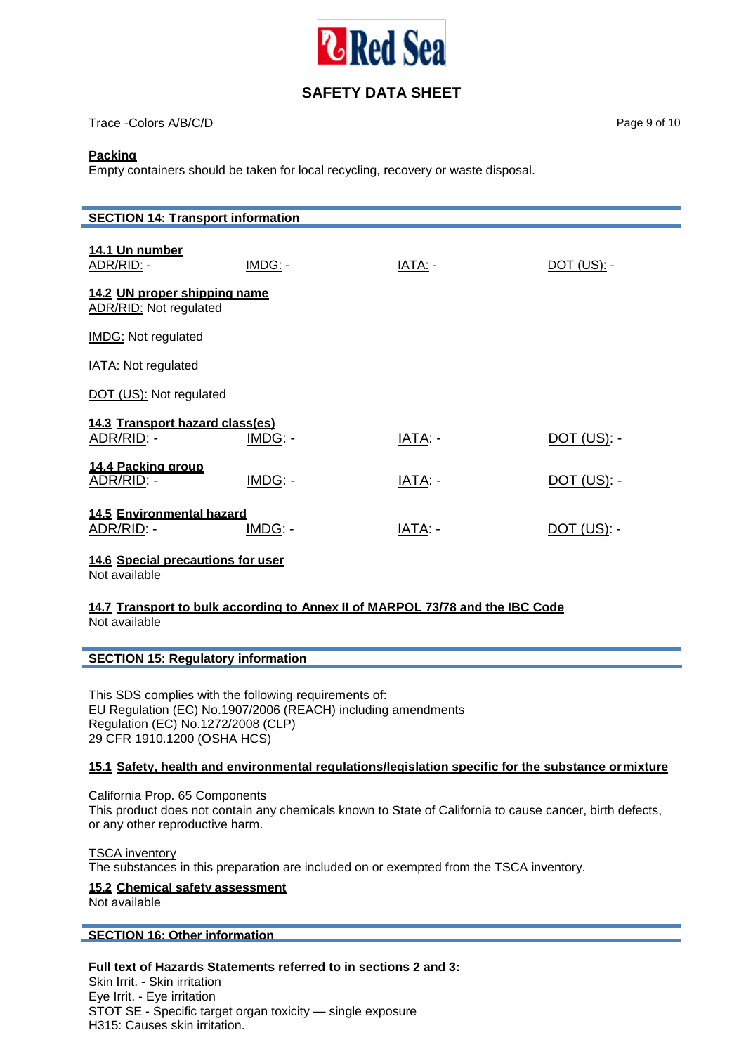

## Trace -Colors A/B/C/D **Page 9 of 10**

## **Packing**

Empty containers should be taken for local recycling, recovery or waste disposal.

| <b>SECTION 14: Transport information</b>                      |         |         |                    |  |
|---------------------------------------------------------------|---------|---------|--------------------|--|
| 14.1 Un number<br>ADR/RID: -                                  | IMDG: - | IATA: - | <u>DOT (US): -</u> |  |
| 14.2 UN proper shipping name<br><b>ADR/RID: Not regulated</b> |         |         |                    |  |
| IMDG: Not regulated                                           |         |         |                    |  |
| <b>IATA: Not regulated</b>                                    |         |         |                    |  |
| DOT (US): Not regulated                                       |         |         |                    |  |
| 14.3 Transport hazard class(es)<br>ADR/RID: -                 | IMDG: - | IATA: - | <u>DOT (US): -</u> |  |
| 14.4 Packing group<br>ADR/RID: -                              | IMDG: - | IATA: - | $DOT$ (US): -      |  |
| 14.5 Environmental hazard<br>ADR/RID: -                       | IMDG: - | IATA: - | $DOT$ (US): -      |  |
| $\cdots$                                                      |         |         |                    |  |

**14.6 Special precautions for user**

Not available

## **14.7 Transport to bulk according to Annex II of MARPOL 73/78 and the IBC Code** Not available

## **SECTION 15: Regulatory information**

This SDS complies with the following requirements of: EU Regulation (EC) No.1907/2006 (REACH) including amendments Regulation (EC) No.1272/2008 (CLP) 29 CFR 1910.1200 (OSHA HCS)

## **15.1 Safety, health and environmental regulations/legislation specific for the substance ormixture**

California Prop. 65 Components This product does not contain any chemicals known to State of California to cause cancer, birth defects, or any other reproductive harm.

**TSCA** inventory The substances in this preparation are included on or exempted from the TSCA inventory.

## **15.2 Chemical safety assessment**

Not available

## **SECTION 16: Other information**

## **Full text of Hazards Statements referred to in sections 2 and 3:**

Skin Irrit. - Skin irritation Eye Irrit. - Eye irritation STOT SE - Specific target organ toxicity — single exposure H315: Causes skin irritation.